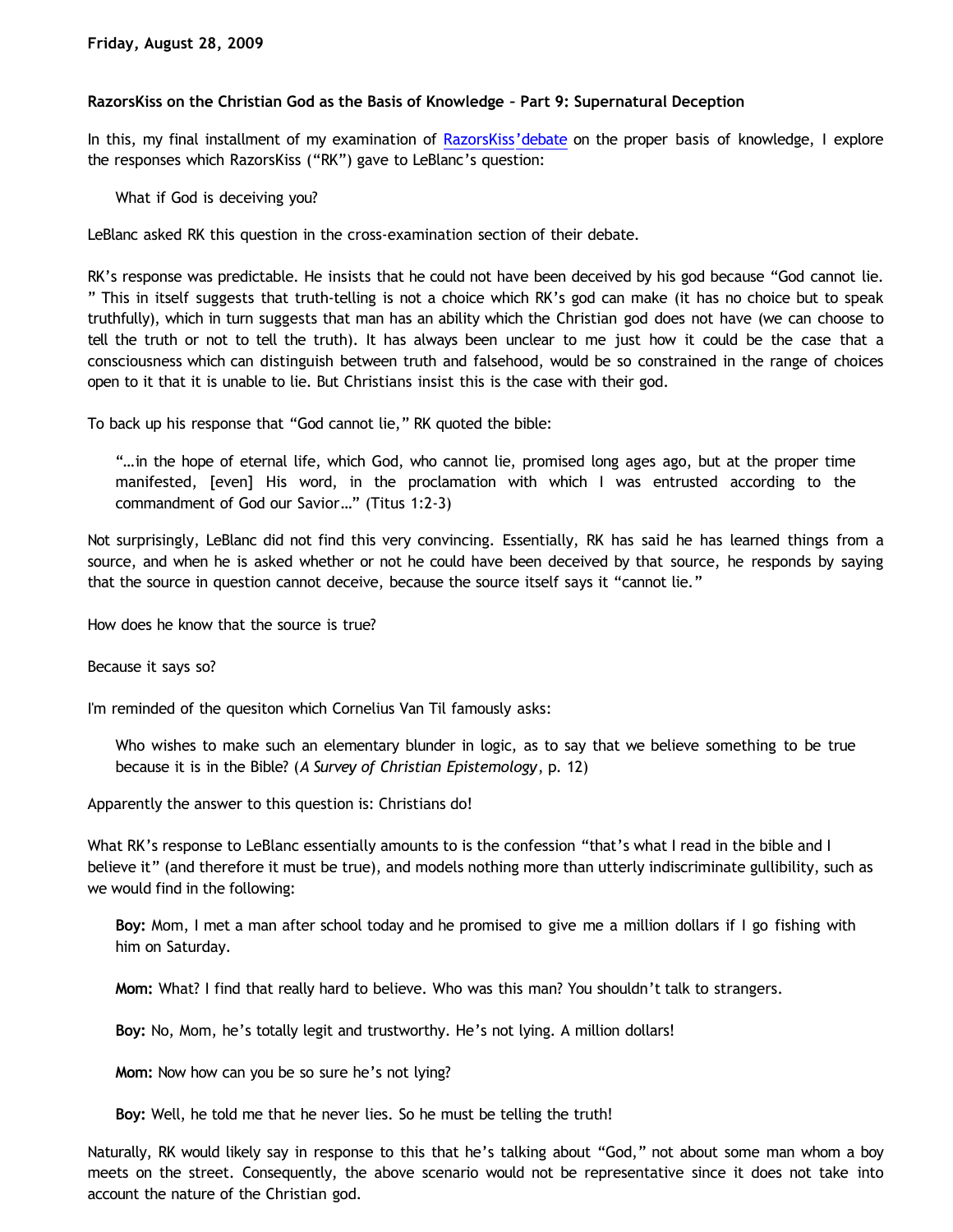## **RazorsKiss on the Christian God as the Basis of Knowledge – Part 9: Supernatural Deception**

In this, my final installment of my examination of [RazorsKiss'debate](http://razorskiss.net/wp/2009/08/08/debate-transcript) on the proper basis of knowledge, I explore the responses which RazorsKiss ("RK") gave to LeBlanc's question:

What if God is deceiving you?

LeBlanc asked RK this question in the cross-examination section of their debate.

RK's response was predictable. He insists that he could not have been deceived by his god because "God cannot lie. " This in itself suggests that truth-telling is not a choice which RK's god can make (it has no choice but to speak truthfully), which in turn suggests that man has an ability which the Christian god does not have (we can choose to tell the truth or not to tell the truth). It has always been unclear to me just how it could be the case that a consciousness which can distinguish between truth and falsehood, would be so constrained in the range of choices open to it that it is unable to lie. But Christians insist this is the case with their god.

To back up his response that "God cannot lie," RK quoted the bible:

"…in the hope of eternal life, which God, who cannot lie, promised long ages ago, but at the proper time manifested, [even] His word, in the proclamation with which I was entrusted according to the commandment of God our Savior…" (Titus 1:2-3)

Not surprisingly, LeBlanc did not find this very convincing. Essentially, RK has said he has learned things from a source, and when he is asked whether or not he could have been deceived by that source, he responds by saying that the source in question cannot deceive, because the source itself says it "cannot lie."

How does he know that the source is true?

Because it says so?

I'm reminded of the quesiton which Cornelius Van Til famously asks:

Who wishes to make such an elementary blunder in logic, as to say that we believe something to be true because it is in the Bible? (*A Survey of Christian Epistemology*, p. 12)

Apparently the answer to this question is: Christians do!

What RK's response to LeBlanc essentially amounts to is the confession "that's what I read in the bible and I believe it" (and therefore it must be true), and models nothing more than utterly indiscriminate gullibility, such as we would find in the following:

**Boy:** Mom, I met a man after school today and he promised to give me a million dollars if I go fishing with him on Saturday.

**Mom:** What? I find that really hard to believe. Who was this man? You shouldn't talk to strangers.

**Boy:** No, Mom, he's totally legit and trustworthy. He's not lying. A million dollars!

**Mom:** Now how can you be so sure he's not lying?

**Boy:** Well, he told me that he never lies. So he must be telling the truth!

Naturally, RK would likely say in response to this that he's talking about "God," not about some man whom a boy meets on the street. Consequently, the above scenario would not be representative since it does not take into account the nature of the Christian god.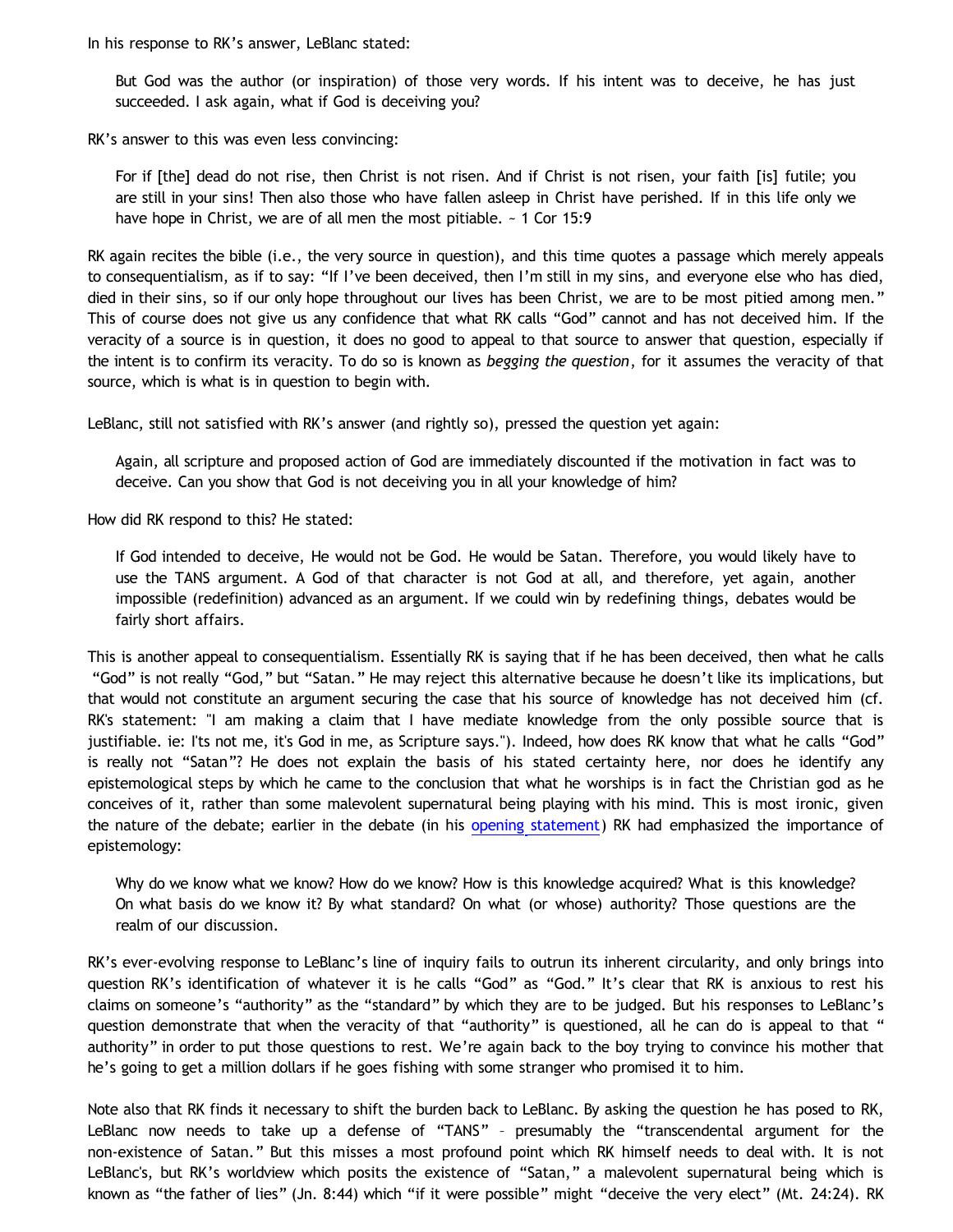In his response to RK's answer, LeBlanc stated:

But God was the author (or inspiration) of those very words. If his intent was to deceive, he has just succeeded. I ask again, what if God is deceiving you?

RK's answer to this was even less convincing:

For if [the] dead do not rise, then Christ is not risen. And if Christ is not risen, your faith [is] futile; you are still in your sins! Then also those who have fallen asleep in Christ have perished. If in this life only we have hope in Christ, we are of all men the most pitiable.  $\sim$  1 Cor 15:9

RK again recites the bible (i.e., the very source in question), and this time quotes a passage which merely appeals to consequentialism, as if to say: "If I've been deceived, then I'm still in my sins, and everyone else who has died, died in their sins, so if our only hope throughout our lives has been Christ, we are to be most pitied among men." This of course does not give us any confidence that what RK calls "God" cannot and has not deceived him. If the veracity of a source is in question, it does no good to appeal to that source to answer that question, especially if the intent is to confirm its veracity. To do so is known as *begging the question*, for it assumes the veracity of that source, which is what is in question to begin with.

LeBlanc, still not satisfied with RK's answer (and rightly so), pressed the question yet again:

Again, all scripture and proposed action of God are immediately discounted if the motivation in fact was to deceive. Can you show that God is not deceiving you in all your knowledge of him?

How did RK respond to this? He stated:

If God intended to deceive, He would not be God. He would be Satan. Therefore, you would likely have to use the TANS argument. A God of that character is not God at all, and therefore, yet again, another impossible (redefinition) advanced as an argument. If we could win by redefining things, debates would be fairly short affairs.

This is another appeal to consequentialism. Essentially RK is saying that if he has been deceived, then what he calls "God" is not really "God," but "Satan." He may reject this alternative because he doesn't like its implications, but that would not constitute an argument securing the case that his source of knowledge has not deceived him (cf. RK's statement: "I am making a claim that I have mediate knowledge from the only possible source that is justifiable. ie: I'ts not me, it's God in me, as Scripture says."). Indeed, how does RK know that what he calls "God" is really not "Satan"? He does not explain the basis of his stated certainty here, nor does he identify any epistemological steps by which he came to the conclusion that what he worships is in fact the Christian god as he conceives of it, rather than some malevolent supernatural being playing with his mind. This is most ironic, given the nature of the debate; earlier in the debate (in his [opening statement](http://razorskiss.net/wp/2009/08/08/debate-transcript)) RK had emphasized the importance of epistemology:

Why do we know what we know? How do we know? How is this knowledge acquired? What is this knowledge? On what basis do we know it? By what standard? On what (or whose) authority? Those questions are the realm of our discussion.

RK's ever-evolving response to LeBlanc's line of inquiry fails to outrun its inherent circularity, and only brings into question RK's identification of whatever it is he calls "God" as "God." It's clear that RK is anxious to rest his claims on someone's "authority" as the "standard" by which they are to be judged. But his responses to LeBlanc's question demonstrate that when the veracity of that "authority" is questioned, all he can do is appeal to that " authority" in order to put those questions to rest. We're again back to the boy trying to convince his mother that he's going to get a million dollars if he goes fishing with some stranger who promised it to him.

Note also that RK finds it necessary to shift the burden back to LeBlanc. By asking the question he has posed to RK, LeBlanc now needs to take up a defense of "TANS" – presumably the "transcendental argument for the non-existence of Satan." But this misses a most profound point which RK himself needs to deal with. It is not LeBlanc's, but RK's worldview which posits the existence of "Satan," a malevolent supernatural being which is known as "the father of lies" (Jn. 8:44) which "if it were possible" might "deceive the very elect" (Mt. 24:24). RK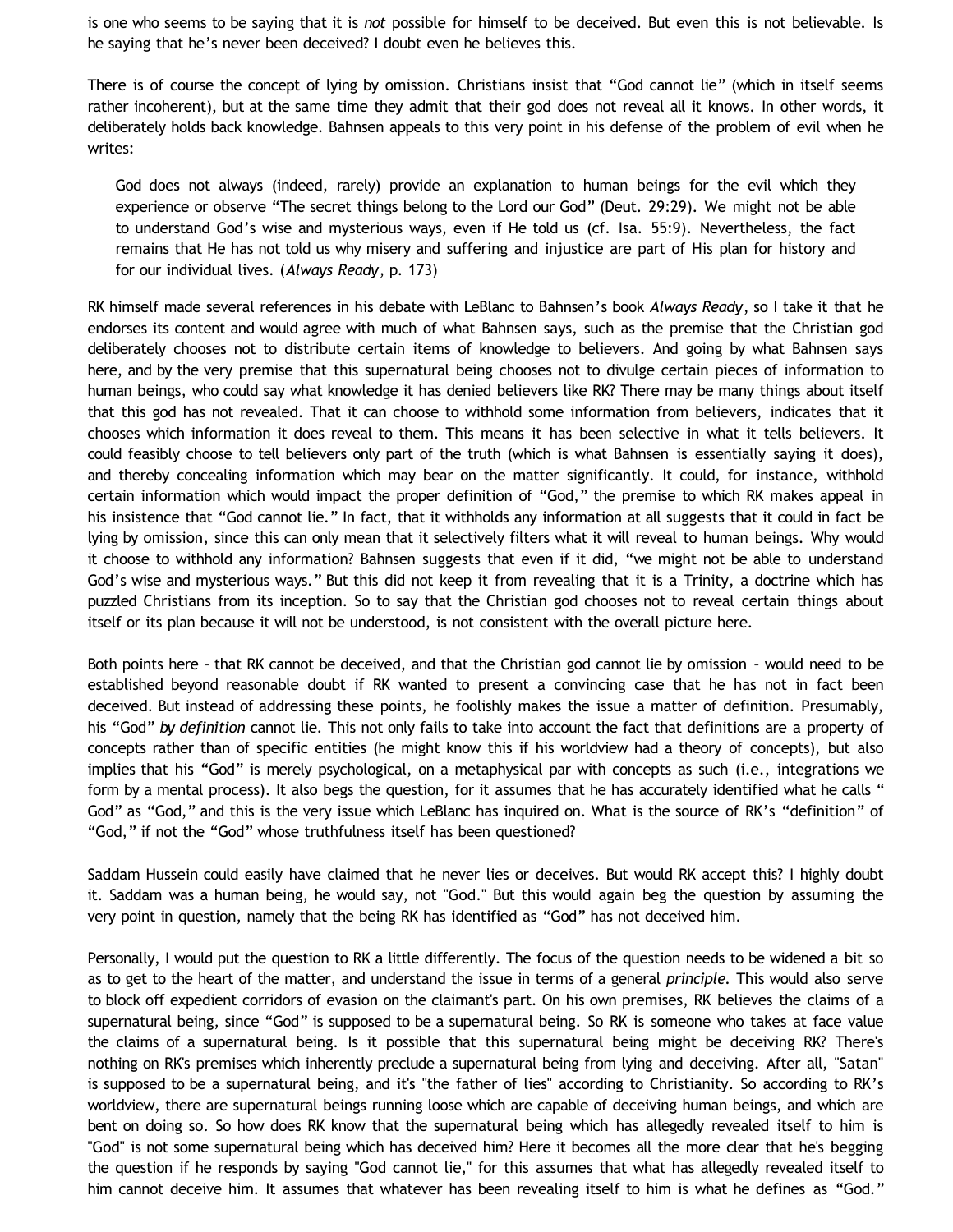is one who seems to be saying that it is *not* possible for himself to be deceived. But even this is not believable. Is he saying that he's never been deceived? I doubt even he believes this.

There is of course the concept of lying by omission. Christians insist that "God cannot lie" (which in itself seems rather incoherent), but at the same time they admit that their god does not reveal all it knows. In other words, it deliberately holds back knowledge. Bahnsen appeals to this very point in his defense of the problem of evil when he writes:

God does not always (indeed, rarely) provide an explanation to human beings for the evil which they experience or observe "The secret things belong to the Lord our God" (Deut. 29:29). We might not be able to understand God's wise and mysterious ways, even if He told us (cf. Isa. 55:9). Nevertheless, the fact remains that He has not told us why misery and suffering and injustice are part of His plan for history and for our individual lives. (*Always Ready*, p. 173)

RK himself made several references in his debate with LeBlanc to Bahnsen's book *Always Ready*, so I take it that he endorses its content and would agree with much of what Bahnsen says, such as the premise that the Christian god deliberately chooses not to distribute certain items of knowledge to believers. And going by what Bahnsen says here, and by the very premise that this supernatural being chooses not to divulge certain pieces of information to human beings, who could say what knowledge it has denied believers like RK? There may be many things about itself that this god has not revealed. That it can choose to withhold some information from believers, indicates that it chooses which information it does reveal to them. This means it has been selective in what it tells believers. It could feasibly choose to tell believers only part of the truth (which is what Bahnsen is essentially saying it does), and thereby concealing information which may bear on the matter significantly. It could, for instance, withhold certain information which would impact the proper definition of "God," the premise to which RK makes appeal in his insistence that "God cannot lie." In fact, that it withholds any information at all suggests that it could in fact be lying by omission, since this can only mean that it selectively filters what it will reveal to human beings. Why would it choose to withhold any information? Bahnsen suggests that even if it did, "we might not be able to understand God's wise and mysterious ways." But this did not keep it from revealing that it is a Trinity, a doctrine which has puzzled Christians from its inception. So to say that the Christian god chooses not to reveal certain things about itself or its plan because it will not be understood, is not consistent with the overall picture here.

Both points here – that RK cannot be deceived, and that the Christian god cannot lie by omission – would need to be established beyond reasonable doubt if RK wanted to present a convincing case that he has not in fact been deceived. But instead of addressing these points, he foolishly makes the issue a matter of definition. Presumably, his "God" *by definition* cannot lie. This not only fails to take into account the fact that definitions are a property of concepts rather than of specific entities (he might know this if his worldview had a theory of concepts), but also implies that his "God" is merely psychological, on a metaphysical par with concepts as such (i.e., integrations we form by a mental process). It also begs the question, for it assumes that he has accurately identified what he calls " God" as "God," and this is the very issue which LeBlanc has inquired on. What is the source of RK's "definition" of "God," if not the "God" whose truthfulness itself has been questioned?

Saddam Hussein could easily have claimed that he never lies or deceives. But would RK accept this? I highly doubt it. Saddam was a human being, he would say, not "God." But this would again beg the question by assuming the very point in question, namely that the being RK has identified as "God" has not deceived him.

Personally, I would put the question to RK a little differently. The focus of the question needs to be widened a bit so as to get to the heart of the matter, and understand the issue in terms of a general *principle.* This would also serve to block off expedient corridors of evasion on the claimant's part. On his own premises, RK believes the claims of a supernatural being, since "God" is supposed to be a supernatural being. So RK is someone who takes at face value the claims of a supernatural being. Is it possible that this supernatural being might be deceiving RK? There's nothing on RK's premises which inherently preclude a supernatural being from lying and deceiving. After all, "Satan" is supposed to be a supernatural being, and it's "the father of lies" according to Christianity. So according to RK's worldview, there are supernatural beings running loose which are capable of deceiving human beings, and which are bent on doing so. So how does RK know that the supernatural being which has allegedly revealed itself to him is "God" is not some supernatural being which has deceived him? Here it becomes all the more clear that he's begging the question if he responds by saying "God cannot lie," for this assumes that what has allegedly revealed itself to him cannot deceive him. It assumes that whatever has been revealing itself to him is what he defines as "God."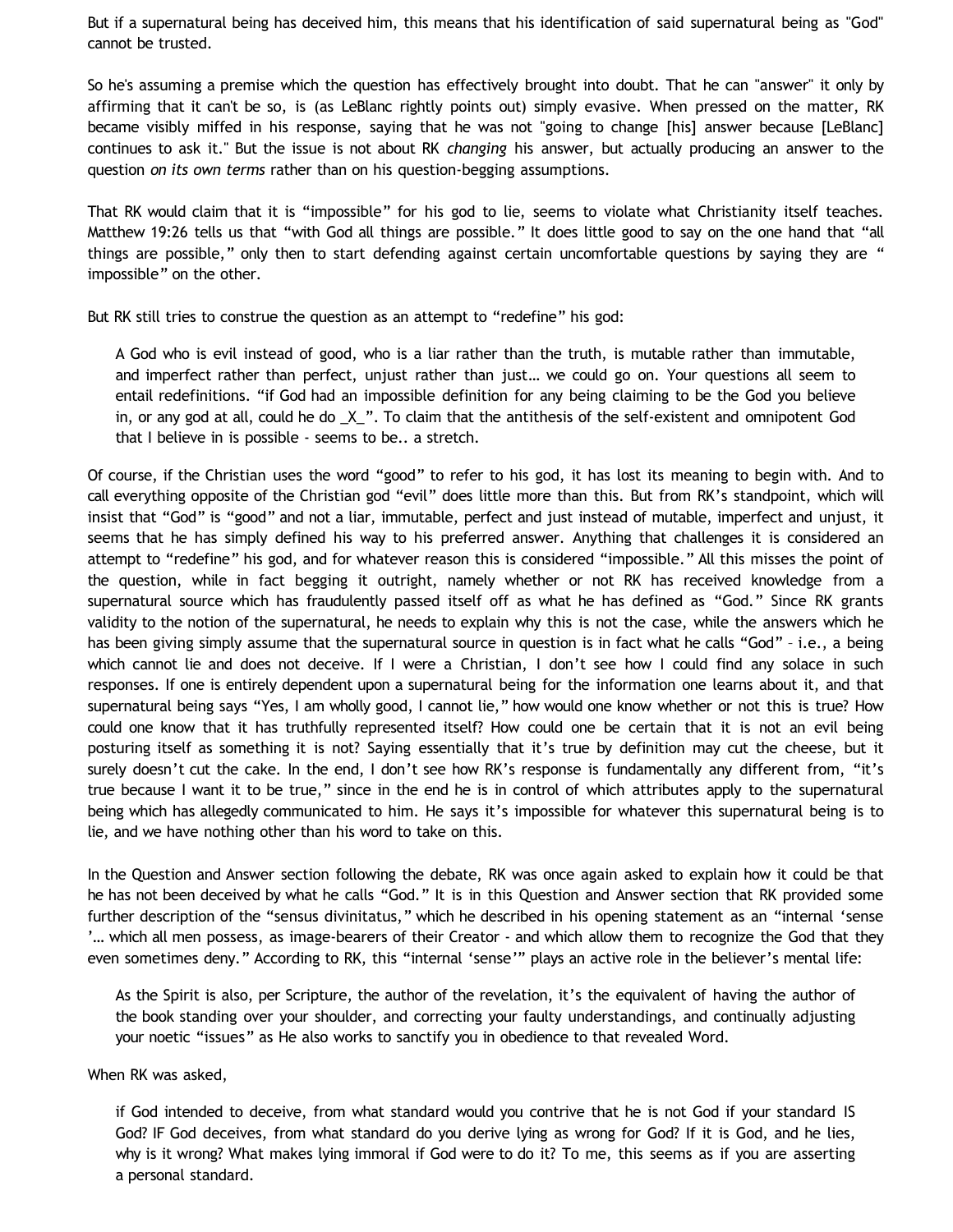But if a supernatural being has deceived him, this means that his identification of said supernatural being as "God" cannot be trusted.

So he's assuming a premise which the question has effectively brought into doubt. That he can "answer" it only by affirming that it can't be so, is (as LeBlanc rightly points out) simply evasive. When pressed on the matter, RK became visibly miffed in his response, saying that he was not "going to change [his] answer because [LeBlanc] continues to ask it." But the issue is not about RK *changing* his answer, but actually producing an answer to the question *on its own terms* rather than on his question-begging assumptions.

That RK would claim that it is "impossible" for his god to lie, seems to violate what Christianity itself teaches. Matthew 19:26 tells us that "with God all things are possible." It does little good to say on the one hand that "all things are possible," only then to start defending against certain uncomfortable questions by saying they are " impossible" on the other.

But RK still tries to construe the question as an attempt to "redefine" his god:

A God who is evil instead of good, who is a liar rather than the truth, is mutable rather than immutable, and imperfect rather than perfect, unjust rather than just… we could go on. Your questions all seem to entail redefinitions. "if God had an impossible definition for any being claiming to be the God you believe in, or any god at all, could he do \_X\_". To claim that the antithesis of the self-existent and omnipotent God that I believe in is possible - seems to be.. a stretch.

Of course, if the Christian uses the word "good" to refer to his god, it has lost its meaning to begin with. And to call everything opposite of the Christian god "evil" does little more than this. But from RK's standpoint, which will insist that "God" is "good" and not a liar, immutable, perfect and just instead of mutable, imperfect and unjust, it seems that he has simply defined his way to his preferred answer. Anything that challenges it is considered an attempt to "redefine" his god, and for whatever reason this is considered "impossible." All this misses the point of the question, while in fact begging it outright, namely whether or not RK has received knowledge from a supernatural source which has fraudulently passed itself off as what he has defined as "God." Since RK grants validity to the notion of the supernatural, he needs to explain why this is not the case, while the answers which he has been giving simply assume that the supernatural source in question is in fact what he calls "God" – i.e., a being which cannot lie and does not deceive. If I were a Christian, I don't see how I could find any solace in such responses. If one is entirely dependent upon a supernatural being for the information one learns about it, and that supernatural being says "Yes, I am wholly good, I cannot lie," how would one know whether or not this is true? How could one know that it has truthfully represented itself? How could one be certain that it is not an evil being posturing itself as something it is not? Saying essentially that it's true by definition may cut the cheese, but it surely doesn't cut the cake. In the end, I don't see how RK's response is fundamentally any different from, "it's true because I want it to be true," since in the end he is in control of which attributes apply to the supernatural being which has allegedly communicated to him. He says it's impossible for whatever this supernatural being is to lie, and we have nothing other than his word to take on this.

In the Question and Answer section following the debate, RK was once again asked to explain how it could be that he has not been deceived by what he calls "God." It is in this Question and Answer section that RK provided some further description of the "sensus divinitatus," which he described in his opening statement as an "internal 'sense '… which all men possess, as image-bearers of their Creator - and which allow them to recognize the God that they even sometimes deny." According to RK, this "internal 'sense'" plays an active role in the believer's mental life:

As the Spirit is also, per Scripture, the author of the revelation, it's the equivalent of having the author of the book standing over your shoulder, and correcting your faulty understandings, and continually adjusting your noetic "issues" as He also works to sanctify you in obedience to that revealed Word.

When RK was asked,

if God intended to deceive, from what standard would you contrive that he is not God if your standard IS God? IF God deceives, from what standard do you derive lying as wrong for God? If it is God, and he lies, why is it wrong? What makes lying immoral if God were to do it? To me, this seems as if you are asserting a personal standard.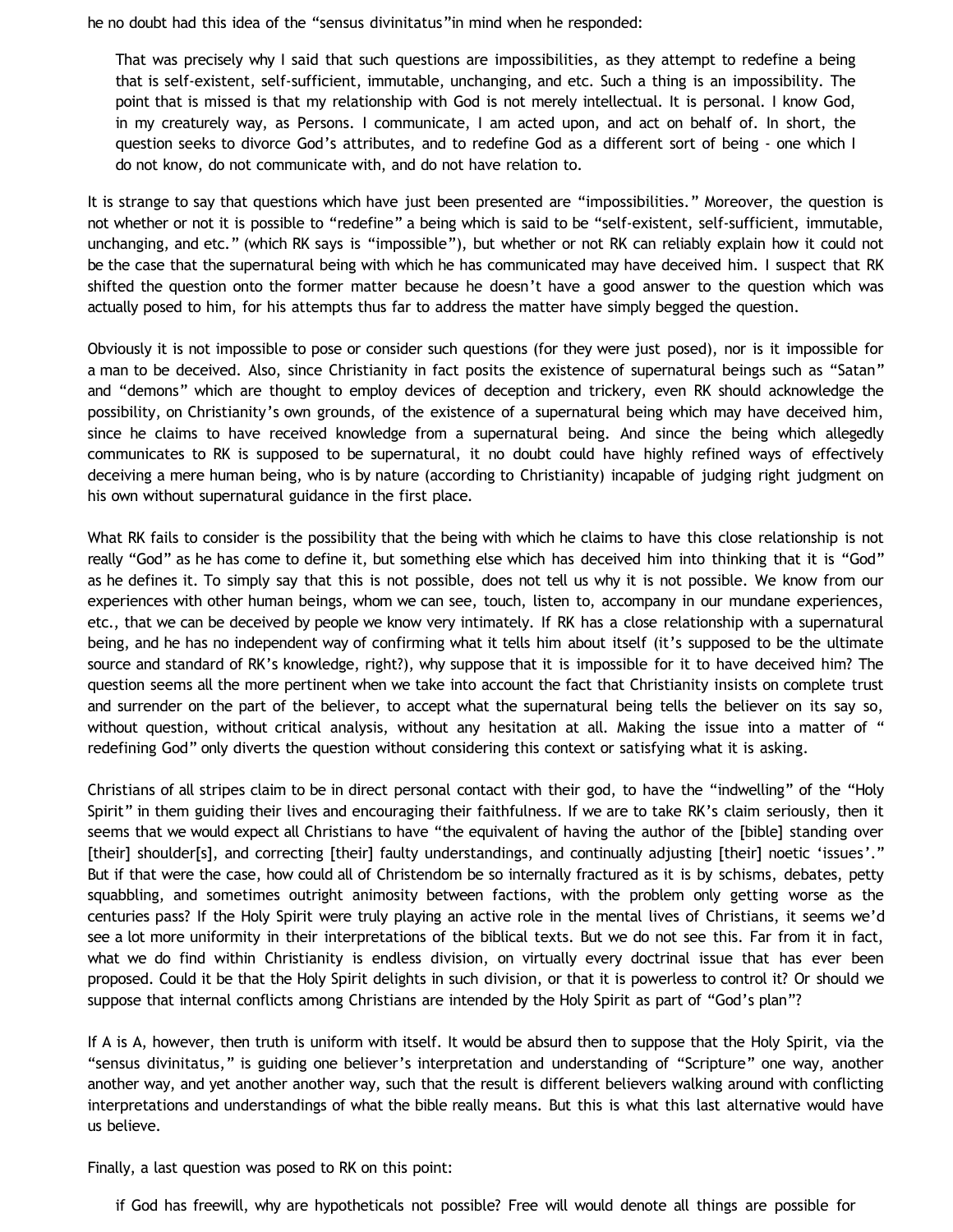he no doubt had this idea of the "sensus divinitatus"in mind when he responded:

That was precisely why I said that such questions are impossibilities, as they attempt to redefine a being that is self-existent, self-sufficient, immutable, unchanging, and etc. Such a thing is an impossibility. The point that is missed is that my relationship with God is not merely intellectual. It is personal. I know God, in my creaturely way, as Persons. I communicate, I am acted upon, and act on behalf of. In short, the question seeks to divorce God's attributes, and to redefine God as a different sort of being - one which I do not know, do not communicate with, and do not have relation to.

It is strange to say that questions which have just been presented are "impossibilities." Moreover, the question is not whether or not it is possible to "redefine" a being which is said to be "self-existent, self-sufficient, immutable, unchanging, and etc." (which RK says is "impossible"), but whether or not RK can reliably explain how it could not be the case that the supernatural being with which he has communicated may have deceived him. I suspect that RK shifted the question onto the former matter because he doesn't have a good answer to the question which was actually posed to him, for his attempts thus far to address the matter have simply begged the question.

Obviously it is not impossible to pose or consider such questions (for they were just posed), nor is it impossible for a man to be deceived. Also, since Christianity in fact posits the existence of supernatural beings such as "Satan" and "demons" which are thought to employ devices of deception and trickery, even RK should acknowledge the possibility, on Christianity's own grounds, of the existence of a supernatural being which may have deceived him, since he claims to have received knowledge from a supernatural being. And since the being which allegedly communicates to RK is supposed to be supernatural, it no doubt could have highly refined ways of effectively deceiving a mere human being, who is by nature (according to Christianity) incapable of judging right judgment on his own without supernatural guidance in the first place.

What RK fails to consider is the possibility that the being with which he claims to have this close relationship is not really "God" as he has come to define it, but something else which has deceived him into thinking that it is "God" as he defines it. To simply say that this is not possible, does not tell us why it is not possible. We know from our experiences with other human beings, whom we can see, touch, listen to, accompany in our mundane experiences, etc., that we can be deceived by people we know very intimately. If RK has a close relationship with a supernatural being, and he has no independent way of confirming what it tells him about itself (it's supposed to be the ultimate source and standard of RK's knowledge, right?), why suppose that it is impossible for it to have deceived him? The question seems all the more pertinent when we take into account the fact that Christianity insists on complete trust and surrender on the part of the believer, to accept what the supernatural being tells the believer on its say so, without question, without critical analysis, without any hesitation at all. Making the issue into a matter of " redefining God" only diverts the question without considering this context or satisfying what it is asking.

Christians of all stripes claim to be in direct personal contact with their god, to have the "indwelling" of the "Holy Spirit" in them guiding their lives and encouraging their faithfulness. If we are to take RK's claim seriously, then it seems that we would expect all Christians to have "the equivalent of having the author of the [bible] standing over [their] shoulder[s], and correcting [their] faulty understandings, and continually adjusting [their] noetic 'issues'." But if that were the case, how could all of Christendom be so internally fractured as it is by schisms, debates, petty squabbling, and sometimes outright animosity between factions, with the problem only getting worse as the centuries pass? If the Holy Spirit were truly playing an active role in the mental lives of Christians, it seems we'd see a lot more uniformity in their interpretations of the biblical texts. But we do not see this. Far from it in fact, what we do find within Christianity is endless division, on virtually every doctrinal issue that has ever been proposed. Could it be that the Holy Spirit delights in such division, or that it is powerless to control it? Or should we suppose that internal conflicts among Christians are intended by the Holy Spirit as part of "God's plan"?

If A is A, however, then truth is uniform with itself. It would be absurd then to suppose that the Holy Spirit, via the "sensus divinitatus," is guiding one believer's interpretation and understanding of "Scripture" one way, another another way, and yet another another way, such that the result is different believers walking around with conflicting interpretations and understandings of what the bible really means. But this is what this last alternative would have us believe.

Finally, a last question was posed to RK on this point:

if God has freewill, why are hypotheticals not possible? Free will would denote all things are possible for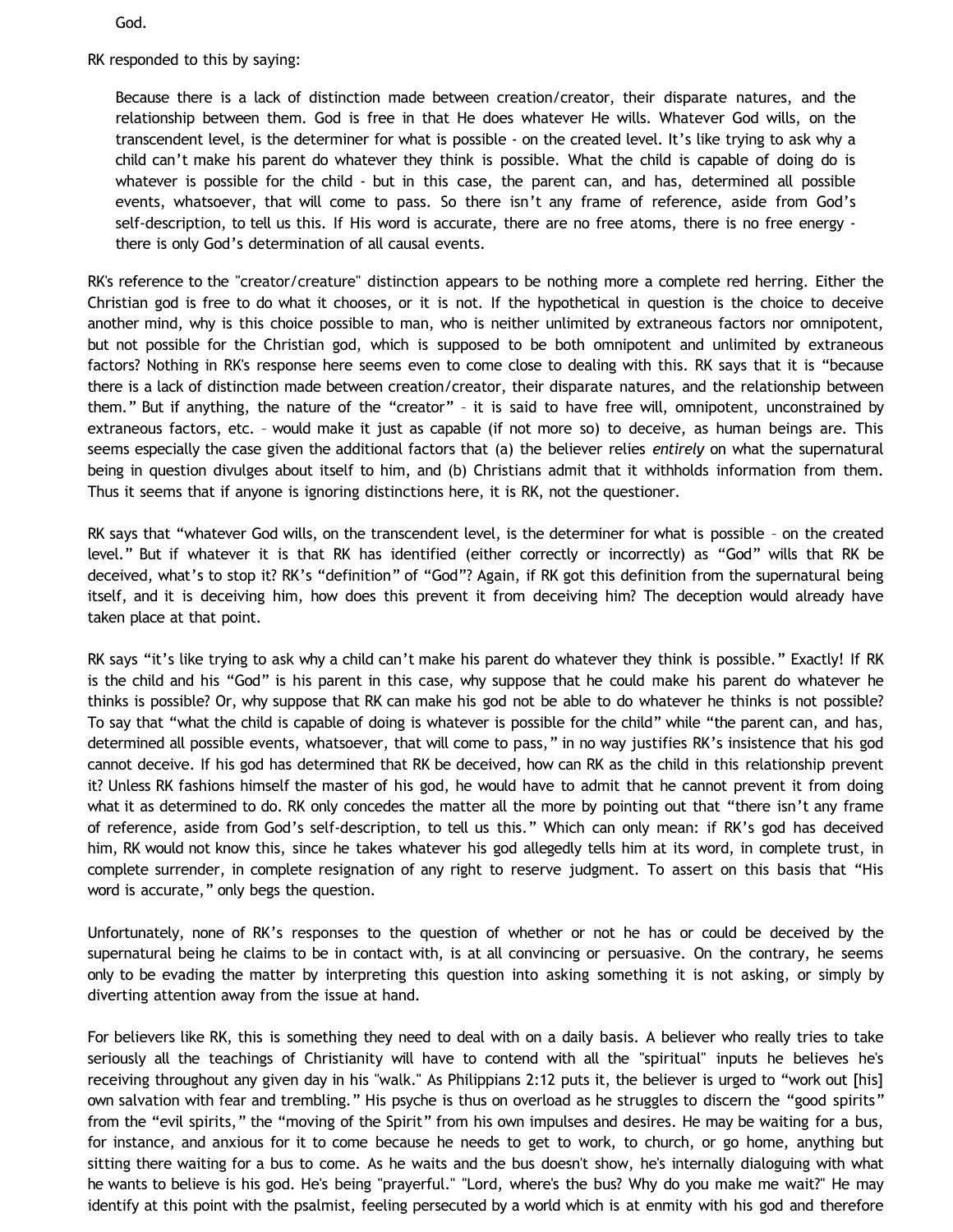God.

RK responded to this by saying:

Because there is a lack of distinction made between creation/creator, their disparate natures, and the relationship between them. God is free in that He does whatever He wills. Whatever God wills, on the transcendent level, is the determiner for what is possible - on the created level. It's like trying to ask why a child can't make his parent do whatever they think is possible. What the child is capable of doing do is whatever is possible for the child - but in this case, the parent can, and has, determined all possible events, whatsoever, that will come to pass. So there isn't any frame of reference, aside from God's self-description, to tell us this. If His word is accurate, there are no free atoms, there is no free energy there is only God's determination of all causal events.

RK's reference to the "creator/creature" distinction appears to be nothing more a complete red herring. Either the Christian god is free to do what it chooses, or it is not. If the hypothetical in question is the choice to deceive another mind, why is this choice possible to man, who is neither unlimited by extraneous factors nor omnipotent, but not possible for the Christian god, which is supposed to be both omnipotent and unlimited by extraneous factors? Nothing in RK's response here seems even to come close to dealing with this. RK says that it is "because there is a lack of distinction made between creation/creator, their disparate natures, and the relationship between them." But if anything, the nature of the "creator" – it is said to have free will, omnipotent, unconstrained by extraneous factors, etc. – would make it just as capable (if not more so) to deceive, as human beings are. This seems especially the case given the additional factors that (a) the believer relies *entirely* on what the supernatural being in question divulges about itself to him, and (b) Christians admit that it withholds information from them. Thus it seems that if anyone is ignoring distinctions here, it is RK, not the questioner.

RK says that "whatever God wills, on the transcendent level, is the determiner for what is possible – on the created level." But if whatever it is that RK has identified (either correctly or incorrectly) as "God" wills that RK be deceived, what's to stop it? RK's "definition" of "God"? Again, if RK got this definition from the supernatural being itself, and it is deceiving him, how does this prevent it from deceiving him? The deception would already have taken place at that point.

RK says "it's like trying to ask why a child can't make his parent do whatever they think is possible." Exactly! If RK is the child and his "God" is his parent in this case, why suppose that he could make his parent do whatever he thinks is possible? Or, why suppose that RK can make his god not be able to do whatever he thinks is not possible? To say that "what the child is capable of doing is whatever is possible for the child" while "the parent can, and has, determined all possible events, whatsoever, that will come to pass," in no way justifies RK's insistence that his god cannot deceive. If his god has determined that RK be deceived, how can RK as the child in this relationship prevent it? Unless RK fashions himself the master of his god, he would have to admit that he cannot prevent it from doing what it as determined to do. RK only concedes the matter all the more by pointing out that "there isn't any frame of reference, aside from God's self-description, to tell us this." Which can only mean: if RK's god has deceived him, RK would not know this, since he takes whatever his god allegedly tells him at its word, in complete trust, in complete surrender, in complete resignation of any right to reserve judgment. To assert on this basis that "His word is accurate," only begs the question.

Unfortunately, none of RK's responses to the question of whether or not he has or could be deceived by the supernatural being he claims to be in contact with, is at all convincing or persuasive. On the contrary, he seems only to be evading the matter by interpreting this question into asking something it is not asking, or simply by diverting attention away from the issue at hand.

For believers like RK, this is something they need to deal with on a daily basis. A believer who really tries to take seriously all the teachings of Christianity will have to contend with all the "spiritual" inputs he believes he's receiving throughout any given day in his "walk." As Philippians 2:12 puts it, the believer is urged to "work out [his] own salvation with fear and trembling." His psyche is thus on overload as he struggles to discern the "good spirits" from the "evil spirits," the "moving of the Spirit" from his own impulses and desires. He may be waiting for a bus, for instance, and anxious for it to come because he needs to get to work, to church, or go home, anything but sitting there waiting for a bus to come. As he waits and the bus doesn't show, he's internally dialoguing with what he wants to believe is his god. He's being "prayerful." "Lord, where's the bus? Why do you make me wait?" He may identify at this point with the psalmist, feeling persecuted by a world which is at enmity with his god and therefore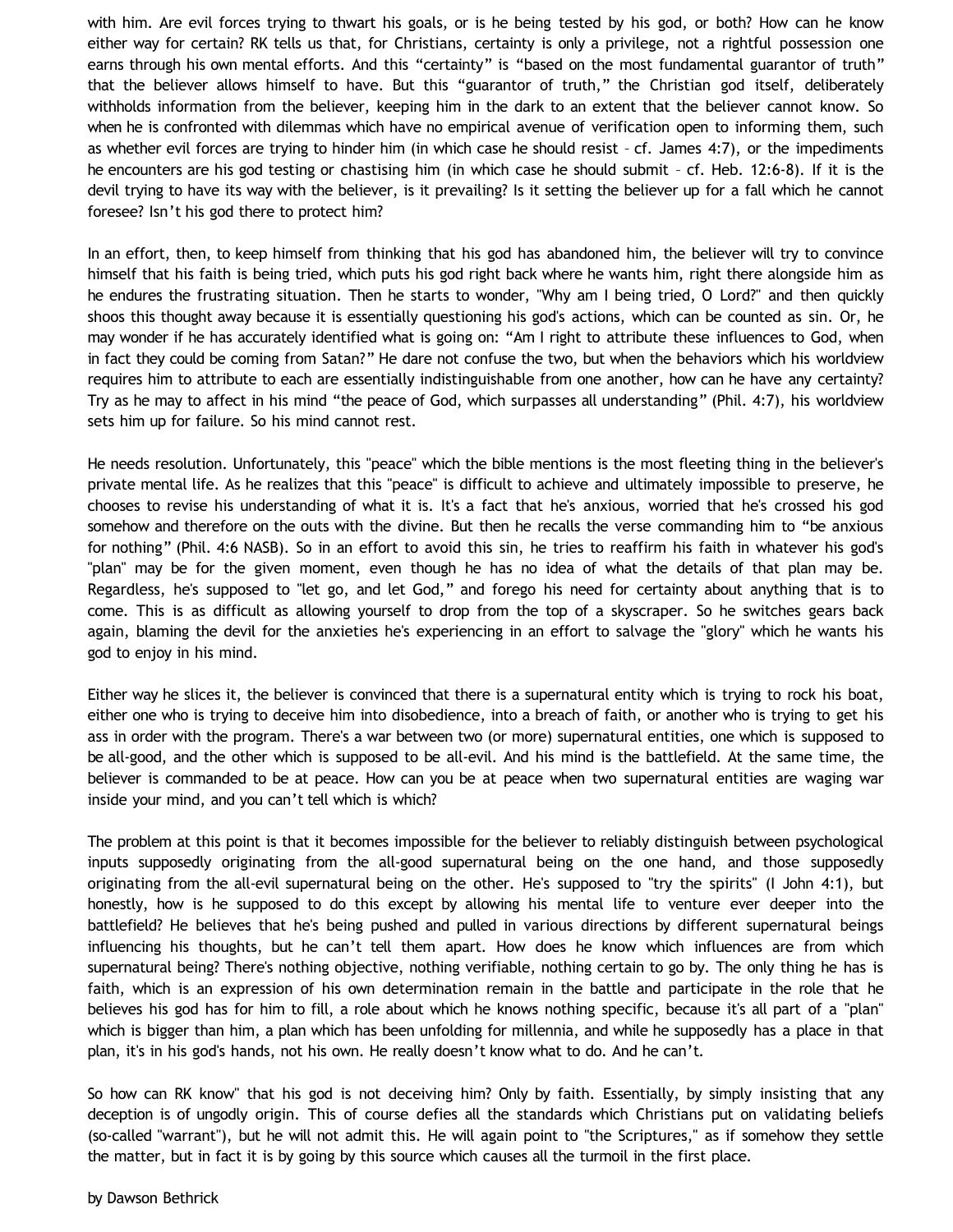with him. Are evil forces trying to thwart his goals, or is he being tested by his god, or both? How can he know either way for certain? RK tells us that, for Christians, certainty is only a privilege, not a rightful possession one earns through his own mental efforts. And this "certainty" is "based on the most fundamental guarantor of truth" that the believer allows himself to have. But this "guarantor of truth," the Christian god itself, deliberately withholds information from the believer, keeping him in the dark to an extent that the believer cannot know. So when he is confronted with dilemmas which have no empirical avenue of verification open to informing them, such as whether evil forces are trying to hinder him (in which case he should resist – cf. James 4:7), or the impediments he encounters are his god testing or chastising him (in which case he should submit – cf. Heb. 12:6-8). If it is the devil trying to have its way with the believer, is it prevailing? Is it setting the believer up for a fall which he cannot foresee? Isn't his god there to protect him?

In an effort, then, to keep himself from thinking that his god has abandoned him, the believer will try to convince himself that his faith is being tried, which puts his god right back where he wants him, right there alongside him as he endures the frustrating situation. Then he starts to wonder, "Why am I being tried, O Lord?" and then quickly shoos this thought away because it is essentially questioning his god's actions, which can be counted as sin. Or, he may wonder if he has accurately identified what is going on: "Am I right to attribute these influences to God, when in fact they could be coming from Satan?" He dare not confuse the two, but when the behaviors which his worldview requires him to attribute to each are essentially indistinguishable from one another, how can he have any certainty? Try as he may to affect in his mind "the peace of God, which surpasses all understanding" (Phil. 4:7), his worldview sets him up for failure. So his mind cannot rest.

He needs resolution. Unfortunately, this "peace" which the bible mentions is the most fleeting thing in the believer's private mental life. As he realizes that this "peace" is difficult to achieve and ultimately impossible to preserve, he chooses to revise his understanding of what it is. It's a fact that he's anxious, worried that he's crossed his god somehow and therefore on the outs with the divine. But then he recalls the verse commanding him to "be anxious for nothing" (Phil. 4:6 NASB). So in an effort to avoid this sin, he tries to reaffirm his faith in whatever his god's "plan" may be for the given moment, even though he has no idea of what the details of that plan may be. Regardless, he's supposed to "let go, and let God," and forego his need for certainty about anything that is to come. This is as difficult as allowing yourself to drop from the top of a skyscraper. So he switches gears back again, blaming the devil for the anxieties he's experiencing in an effort to salvage the "glory" which he wants his god to enjoy in his mind.

Either way he slices it, the believer is convinced that there is a supernatural entity which is trying to rock his boat, either one who is trying to deceive him into disobedience, into a breach of faith, or another who is trying to get his ass in order with the program. There's a war between two (or more) supernatural entities, one which is supposed to be all-good, and the other which is supposed to be all-evil. And his mind is the battlefield. At the same time, the believer is commanded to be at peace. How can you be at peace when two supernatural entities are waging war inside your mind, and you can't tell which is which?

The problem at this point is that it becomes impossible for the believer to reliably distinguish between psychological inputs supposedly originating from the all-good supernatural being on the one hand, and those supposedly originating from the all-evil supernatural being on the other. He's supposed to "try the spirits" (I John 4:1), but honestly, how is he supposed to do this except by allowing his mental life to venture ever deeper into the battlefield? He believes that he's being pushed and pulled in various directions by different supernatural beings influencing his thoughts, but he can't tell them apart. How does he know which influences are from which supernatural being? There's nothing objective, nothing verifiable, nothing certain to go by. The only thing he has is faith, which is an expression of his own determination remain in the battle and participate in the role that he believes his god has for him to fill, a role about which he knows nothing specific, because it's all part of a "plan" which is bigger than him, a plan which has been unfolding for millennia, and while he supposedly has a place in that plan, it's in his god's hands, not his own. He really doesn't know what to do. And he can't.

So how can RK know" that his god is not deceiving him? Only by faith. Essentially, by simply insisting that any deception is of ungodly origin. This of course defies all the standards which Christians put on validating beliefs (so-called "warrant"), but he will not admit this. He will again point to "the Scriptures," as if somehow they settle the matter, but in fact it is by going by this source which causes all the turmoil in the first place.